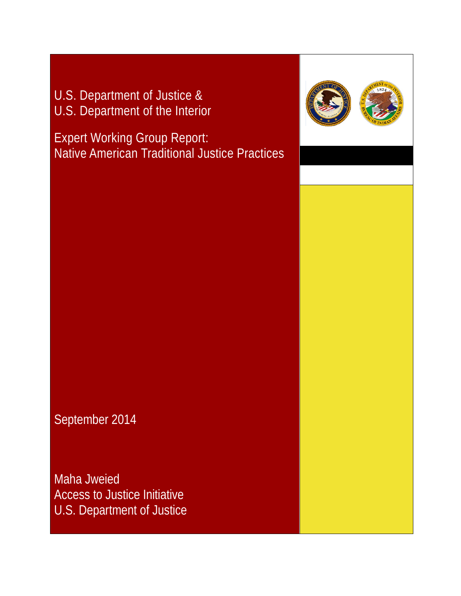U.S. Department of Justice & U.S. Department of the Interior

Expert Working Group Report: Native American Traditional Justice Practices



Maha Jweied Access to Justice Initiative U.S. Department of Justice

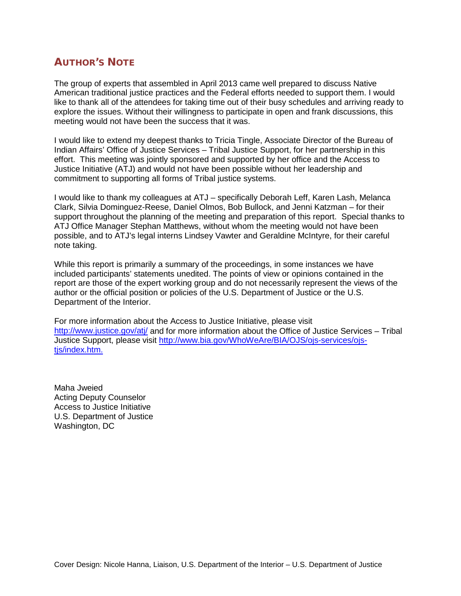# AUTHOR'S NOTE

The group of experts that assembled in April 2013 came well prepared to discuss Native American traditional justice practices and the Federal efforts needed to support them. I would like to thank all of the attendees for taking time out of their busy schedules and arriving ready to explore the issues. Without their willingness to participate in open and frank discussions, this meeting would not have been the success that it was.

I would like to extend my deepest thanks to Tricia Tingle, Associate Director of the Bureau of Indian Affairs' Office of Justice Services – Tribal Justice Support, for her partnership in this effort. This meeting was jointly sponsored and supported by her office and the Access to Justice Initiative (ATJ) and would not have been possible without her leadership and commitment to supporting all forms of Tribal justice systems.

I would like to thank my colleagues at ATJ – specifically Deborah Leff, Karen Lash, Melanca Clark, Silvia Dominguez-Reese, Daniel Olmos, Bob Bullock, and Jenni Katzman – for their support throughout the planning of the meeting and preparation of this report. Special thanks to ATJ Office Manager Stephan Matthews, without whom the meeting would not have been possible, and to ATJ's legal interns Lindsey Vawter and Geraldine McIntyre, for their careful note taking.

While this report is primarily a summary of the proceedings, in some instances we have included participants' statements unedited. The points of view or opinions contained in the report are those of the expert working group and do not necessarily represent the views of the author or the official position or policies of the U.S. Department of Justice or the U.S. Department of the Interior.

For more information about the Access to Justice Initiative, please visit <http://www.justice.gov/atj/> and for more information about the Office of Justice Services – Tribal Justice Support, please visit [http://www.bia.gov/WhoWeAre/BIA/OJS/ojs-services/ojs](http://www.bia.gov/WhoWeAre/BIA/OJS/ojs-services/ojs-tjs/index.htm)tis/index.htm.

Maha Jweied Acting Deputy Counselor Access to Justice Initiative U.S. Department of Justice Washington, DC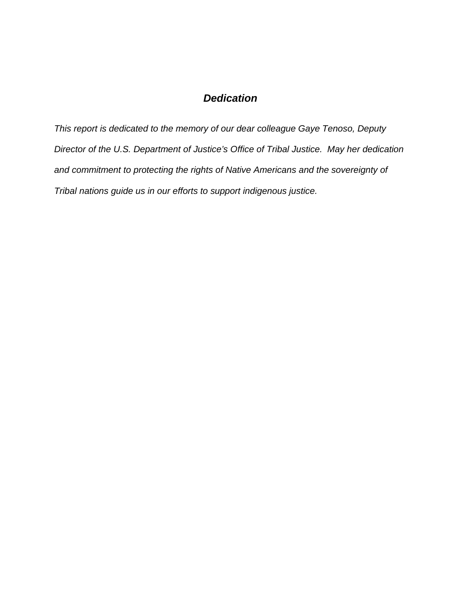# *Dedication*

*This report is dedicated to the memory of our dear colleague Gaye Tenoso, Deputy Director of the U.S. Department of Justice's Office of Tribal Justice. May her dedication and commitment to protecting the rights of Native Americans and the sovereignty of Tribal nations guide us in our efforts to support indigenous justice.*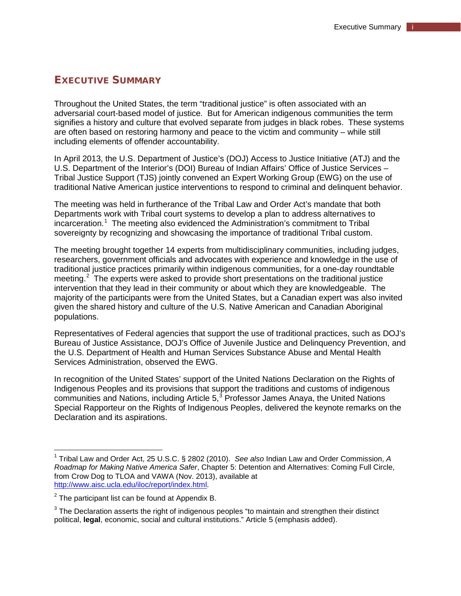# <span id="page-4-3"></span>EXECUTIVE SUMMARY

Throughout the United States, the term "traditional justice" is often associated with an adversarial court-based model of justice. But for American indigenous communities the term signifies a history and culture that evolved separate from judges in black robes. These systems are often based on restoring harmony and peace to the victim and community – while still including elements of offender accountability.

In April 2013, the U.S. Department of Justice's (DOJ) Access to Justice Initiative (ATJ) and the U.S. Department of the Interior's (DOI) Bureau of Indian Affairs' Office of Justice Services – Tribal Justice Support (TJS) jointly convened an Expert Working Group (EWG) on the use of traditional Native American justice interventions to respond to criminal and delinquent behavior.

The meeting was held in furtherance of the Tribal Law and Order Act's mandate that both Departments work with Tribal court systems to develop a plan to address alternatives to incarceration.<sup>[1](#page-4-0)</sup> The meeting also evidenced the Administration's commitment to Tribal sovereignty by recognizing and showcasing the importance of traditional Tribal custom.

The meeting brought together 14 experts from multidisciplinary communities, including judges, researchers, government officials and advocates with experience and knowledge in the use of traditional justice practices primarily within indigenous communities, for a one-day roundtable meeting.<sup>[2](#page-4-1)</sup> The experts were asked to provide short presentations on the traditional justice intervention that they lead in their community or about which they are knowledgeable. The majority of the participants were from the United States, but a Canadian expert was also invited given the shared history and culture of the U.S. Native American and Canadian Aboriginal populations.

Representatives of Federal agencies that support the use of traditional practices, such as DOJ's Bureau of Justice Assistance, DOJ's Office of Juvenile Justice and Delinquency Prevention, and the U.S. Department of Health and Human Services Substance Abuse and Mental Health Services Administration, observed the EWG.

In recognition of the United States' support of the United Nations Declaration on the Rights of Indigenous Peoples and its provisions that support the traditions and customs of indigenous communities and Nations, including Article  $5<sup>3</sup>$  $5<sup>3</sup>$  $5<sup>3</sup>$  Professor James Anaya, the United Nations Special Rapporteur on the Rights of Indigenous Peoples, delivered the keynote remarks on the Declaration and its aspirations.

<span id="page-4-0"></span><sup>1</sup> Tribal Law and Order Act, 25 U.S.C. § 2802 (2010). *See also* Indian Law and Order Commission, *A Roadmap for Making Native America Safer*, Chapter 5: Detention and Alternatives: Coming Full Circle, from Crow Dog to TLOA and VAWA (Nov. 2013), available at [http://www.aisc.ucla.edu/iloc/report/index.html.](http://www.aisc.ucla.edu/iloc/report/index.html)

<span id="page-4-1"></span> $2$  The participant list can be found at Appendix B.

<span id="page-4-2"></span> $3$  The Declaration asserts the right of indigenous peoples "to maintain and strengthen their distinct political, **legal**, economic, social and cultural institutions." Article 5 (emphasis added).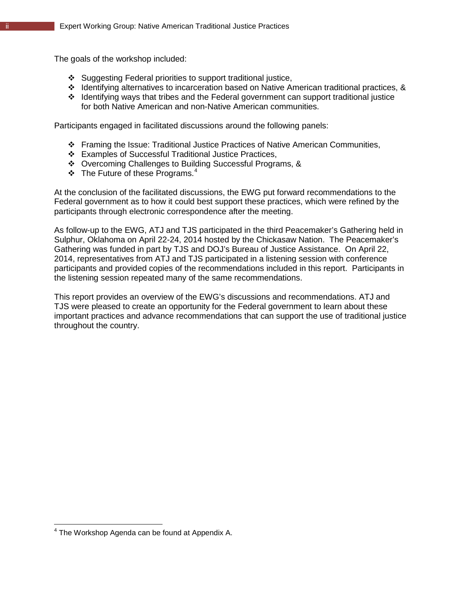The goals of the workshop included:

- Suggesting Federal priorities to support traditional justice,
- $\cdot$  Identifying alternatives to incarceration based on Native American traditional practices, &
- $\div$  Identifying ways that tribes and the Federal government can support traditional justice for both Native American and non-Native American communities.

Participants engaged in facilitated discussions around the following panels:

- Framing the Issue: Traditional Justice Practices of Native American Communities,
- Examples of Successful Traditional Justice Practices,
- Overcoming Challenges to Building Successful Programs, &
- $\div$  The Future of these Programs.<sup>[4](#page-5-0)</sup>

At the conclusion of the facilitated discussions, the EWG put forward recommendations to the Federal government as to how it could best support these practices, which were refined by the participants through electronic correspondence after the meeting.

As follow-up to the EWG, ATJ and TJS participated in the third Peacemaker's Gathering held in Sulphur, Oklahoma on April 22-24, 2014 hosted by the Chickasaw Nation. The Peacemaker's Gathering was funded in part by TJS and DOJ's Bureau of Justice Assistance. On April 22, 2014, representatives from ATJ and TJS participated in a listening session with conference participants and provided copies of the recommendations included in this report. Participants in the listening session repeated many of the same recommendations.

This report provides an overview of the EWG's discussions and recommendations. ATJ and TJS were pleased to create an opportunity for the Federal government to learn about these important practices and advance recommendations that can support the use of traditional justice throughout the country.

<span id="page-5-0"></span> $4$  The Workshop Agenda can be found at Appendix A.  $\overline{\phantom{a}}$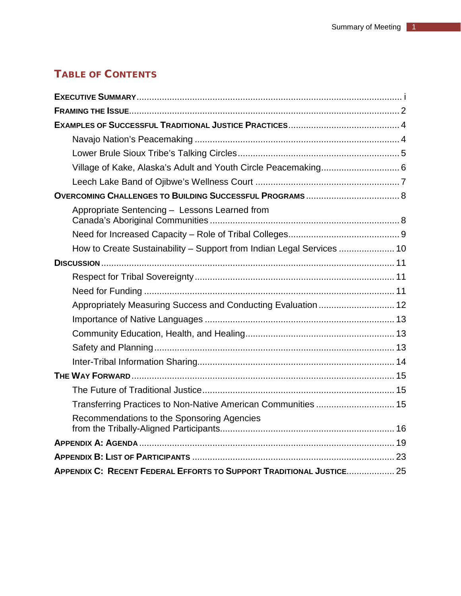# TABLE OF CONTENTS

| Appropriate Sentencing - Lessons Learned from                         |
|-----------------------------------------------------------------------|
|                                                                       |
| How to Create Sustainability - Support from Indian Legal Services  10 |
|                                                                       |
|                                                                       |
|                                                                       |
| Appropriately Measuring Success and Conducting Evaluation  12         |
|                                                                       |
|                                                                       |
|                                                                       |
|                                                                       |
|                                                                       |
|                                                                       |
|                                                                       |
| Recommendations to the Sponsoring Agencies                            |
|                                                                       |
|                                                                       |
| APPENDIX C: RECENT FEDERAL EFFORTS TO SUPPORT TRADITIONAL JUSTICE 25  |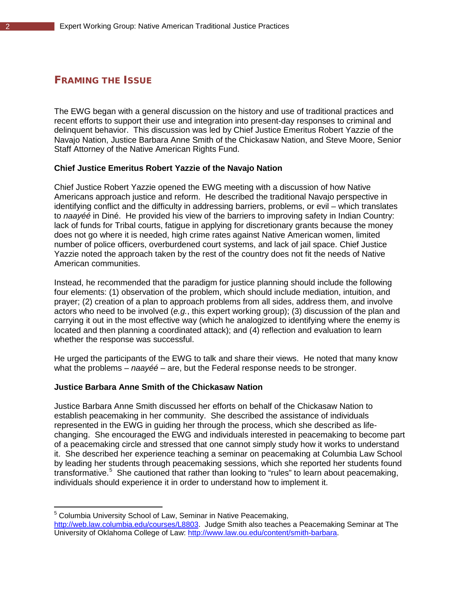# <span id="page-7-0"></span>FRAMING THE ISSUE

The EWG began with a general discussion on the history and use of traditional practices and recent efforts to support their use and integration into present-day responses to criminal and delinquent behavior. This discussion was led by Chief Justice Emeritus Robert Yazzie of the Navajo Nation, Justice Barbara Anne Smith of the Chickasaw Nation, and Steve Moore, Senior Staff Attorney of the Native American Rights Fund.

#### **Chief Justice Emeritus Robert Yazzie of the Navajo Nation**

Chief Justice Robert Yazzie opened the EWG meeting with a discussion of how Native Americans approach justice and reform. He described the traditional Navajo perspective in identifying conflict and the difficulty in addressing barriers, problems, or evil – which translates to *naayéé* in Diné. He provided his view of the barriers to improving safety in Indian Country: lack of funds for Tribal courts, fatigue in applying for discretionary grants because the money does not go where it is needed, high crime rates against Native American women, limited number of police officers, overburdened court systems, and lack of jail space. Chief Justice Yazzie noted the approach taken by the rest of the country does not fit the needs of Native American communities.

Instead, he recommended that the paradigm for justice planning should include the following four elements: (1) observation of the problem, which should include mediation, intuition, and prayer; (2) creation of a plan to approach problems from all sides, address them, and involve actors who need to be involved (*e.g.*, this expert working group); (3) discussion of the plan and carrying it out in the most effective way (which he analogized to identifying where the enemy is located and then planning a coordinated attack); and (4) reflection and evaluation to learn whether the response was successful.

He urged the participants of the EWG to talk and share their views. He noted that many know what the problems – *naayéé* – are, but the Federal response needs to be stronger.

#### **Justice Barbara Anne Smith of the Chickasaw Nation**

 $\overline{a}$ 

Justice Barbara Anne Smith discussed her efforts on behalf of the Chickasaw Nation to establish peacemaking in her community. She described the assistance of individuals represented in the EWG in guiding her through the process, which she described as lifechanging. She encouraged the EWG and individuals interested in peacemaking to become part of a peacemaking circle and stressed that one cannot simply study how it works to understand it. She described her experience teaching a seminar on peacemaking at Columbia Law School by leading her students through peacemaking sessions, which she reported her students found transformative.<sup>[5](#page-7-1)</sup> She cautioned that rather than looking to "rules" to learn about peacemaking, individuals should experience it in order to understand how to implement it.

<span id="page-7-1"></span><sup>&</sup>lt;sup>5</sup> Columbia University School of Law, Seminar in Native Peacemaking, [http://web.law.columbia.edu/courses/L8803.](http://web.law.columbia.edu/courses/L8803) Judge Smith also teaches a Peacemaking Seminar at The University of Oklahoma College of Law: [http://www.law.ou.edu/content/smith-barbara.](http://www.law.ou.edu/content/smith-barbara)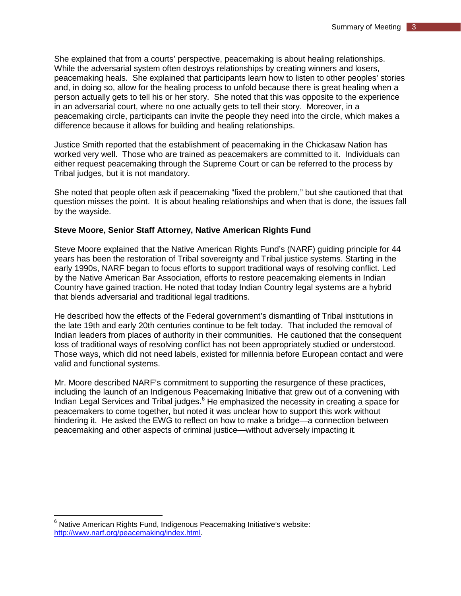She explained that from a courts' perspective, peacemaking is about healing relationships. While the adversarial system often destroys relationships by creating winners and losers, peacemaking heals. She explained that participants learn how to listen to other peoples' stories and, in doing so, allow for the healing process to unfold because there is great healing when a person actually gets to tell his or her story. She noted that this was opposite to the experience in an adversarial court, where no one actually gets to tell their story. Moreover, in a peacemaking circle, participants can invite the people they need into the circle, which makes a difference because it allows for building and healing relationships.

Justice Smith reported that the establishment of peacemaking in the Chickasaw Nation has worked very well. Those who are trained as peacemakers are committed to it. Individuals can either request peacemaking through the Supreme Court or can be referred to the process by Tribal judges, but it is not mandatory.

She noted that people often ask if peacemaking "fixed the problem," but she cautioned that that question misses the point. It is about healing relationships and when that is done, the issues fall by the wayside.

## **Steve Moore, Senior Staff Attorney, Native American Rights Fund**

Steve Moore explained that the Native American Rights Fund's (NARF) guiding principle for 44 years has been the restoration of Tribal sovereignty and Tribal justice systems. Starting in the early 1990s, NARF began to focus efforts to support traditional ways of resolving conflict. Led by the Native American Bar Association, efforts to restore peacemaking elements in Indian Country have gained traction. He noted that today Indian Country legal systems are a hybrid that blends adversarial and traditional legal traditions.

He described how the effects of the Federal government's dismantling of Tribal institutions in the late 19th and early 20th centuries continue to be felt today. That included the removal of Indian leaders from places of authority in their communities. He cautioned that the consequent loss of traditional ways of resolving conflict has not been appropriately studied or understood. Those ways, which did not need labels, existed for millennia before European contact and were valid and functional systems.

Mr. Moore described NARF's commitment to supporting the resurgence of these practices, including the launch of an Indigenous Peacemaking Initiative that grew out of a convening with Indian Legal Services and Tribal judges.<sup>[6](#page-8-0)</sup> He emphasized the necessity in creating a space for peacemakers to come together, but noted it was unclear how to support this work without hindering it. He asked the EWG to reflect on how to make a bridge—a connection between peacemaking and other aspects of criminal justice—without adversely impacting it.

 $\overline{\phantom{a}}$ 

<span id="page-8-0"></span> $6$  Native American Rights Fund, Indigenous Peacemaking Initiative's website: [http://www.narf.org/peacemaking/index.html.](http://www.narf.org/peacemaking/index.html)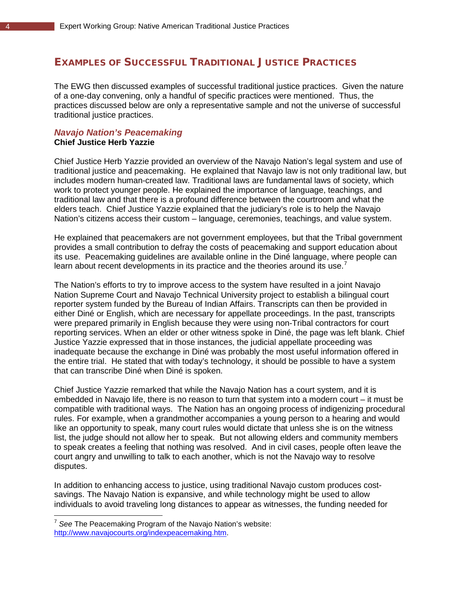# <span id="page-9-0"></span>EXAMPLES OF SUCCESSFUL TRADITIONAL JUSTICE PRACTICES

The EWG then discussed examples of successful traditional justice practices. Given the nature of a one-day convening, only a handful of specific practices were mentioned. Thus, the practices discussed below are only a representative sample and not the universe of successful traditional justice practices.

# <span id="page-9-1"></span>*Navajo Nation's Peacemaking*  **Chief Justice Herb Yazzie**

Chief Justice Herb Yazzie provided an overview of the Navajo Nation's legal system and use of traditional justice and peacemaking. He explained that Navajo law is not only traditional law, but includes modern human-created law. Traditional laws are fundamental laws of society, which work to protect younger people. He explained the importance of language, teachings, and traditional law and that there is a profound difference between the courtroom and what the elders teach. Chief Justice Yazzie explained that the judiciary's role is to help the Navajo Nation's citizens access their custom – language, ceremonies, teachings, and value system.

He explained that peacemakers are not government employees, but that the Tribal government provides a small contribution to defray the costs of peacemaking and support education about its use. Peacemaking guidelines are available online in the Diné language, where people can learn about recent developments in its practice and the theories around its use.<sup>[7](#page-9-2)</sup>

The Nation's efforts to try to improve access to the system have resulted in a joint Navajo Nation Supreme Court and Navajo Technical University project to establish a bilingual court reporter system funded by the Bureau of Indian Affairs. Transcripts can then be provided in either Diné or English, which are necessary for appellate proceedings. In the past, transcripts were prepared primarily in English because they were using non-Tribal contractors for court reporting services. When an elder or other witness spoke in Diné, the page was left blank. Chief Justice Yazzie expressed that in those instances, the judicial appellate proceeding was inadequate because the exchange in Diné was probably the most useful information offered in the entire trial. He stated that with today's technology, it should be possible to have a system that can transcribe Diné when Diné is spoken.

Chief Justice Yazzie remarked that while the Navajo Nation has a court system, and it is embedded in Navajo life, there is no reason to turn that system into a modern court – it must be compatible with traditional ways. The Nation has an ongoing process of indigenizing procedural rules. For example, when a grandmother accompanies a young person to a hearing and would like an opportunity to speak, many court rules would dictate that unless she is on the witness list, the judge should not allow her to speak. But not allowing elders and community members to speak creates a feeling that nothing was resolved. And in civil cases, people often leave the court angry and unwilling to talk to each another, which is not the Navajo way to resolve disputes.

In addition to enhancing access to justice, using traditional Navajo custom produces costsavings. The Navajo Nation is expansive, and while technology might be used to allow individuals to avoid traveling long distances to appear as witnesses, the funding needed for

 $\overline{a}$ 

<span id="page-9-2"></span><sup>7</sup> *See* The Peacemaking Program of the Navajo Nation's website: [http://www.navajocourts.org/indexpeacemaking.htm.](http://www.navajocourts.org/indexpeacemaking.htm)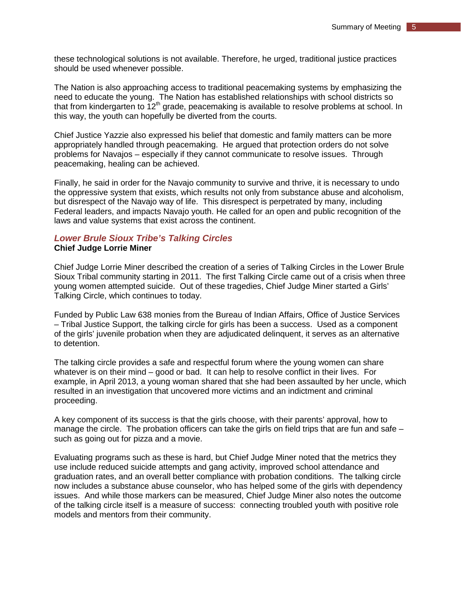these technological solutions is not available. Therefore, he urged, traditional justice practices should be used whenever possible.

The Nation is also approaching access to traditional peacemaking systems by emphasizing the need to educate the young. The Nation has established relationships with school districts so that from kindergarten to  $12<sup>th</sup>$  grade, peacemaking is available to resolve problems at school. In this way, the youth can hopefully be diverted from the courts.

Chief Justice Yazzie also expressed his belief that domestic and family matters can be more appropriately handled through peacemaking. He argued that protection orders do not solve problems for Navajos – especially if they cannot communicate to resolve issues. Through peacemaking, healing can be achieved.

Finally, he said in order for the Navajo community to survive and thrive, it is necessary to undo the oppressive system that exists, which results not only from substance abuse and alcoholism, but disrespect of the Navajo way of life. This disrespect is perpetrated by many, including Federal leaders, and impacts Navajo youth. He called for an open and public recognition of the laws and value systems that exist across the continent.

#### <span id="page-10-0"></span>*Lower Brule Sioux Tribe's Talking Circles*  **Chief Judge Lorrie Miner**

Chief Judge Lorrie Miner described the creation of a series of Talking Circles in the Lower Brule Sioux Tribal community starting in 2011. The first Talking Circle came out of a crisis when three young women attempted suicide. Out of these tragedies, Chief Judge Miner started a Girls' Talking Circle, which continues to today.

Funded by Public Law 638 monies from the Bureau of Indian Affairs, Office of Justice Services – Tribal Justice Support, the talking circle for girls has been a success. Used as a component of the girls' juvenile probation when they are adjudicated delinquent, it serves as an alternative to detention.

The talking circle provides a safe and respectful forum where the young women can share whatever is on their mind – good or bad. It can help to resolve conflict in their lives. For example, in April 2013, a young woman shared that she had been assaulted by her uncle, which resulted in an investigation that uncovered more victims and an indictment and criminal proceeding.

A key component of its success is that the girls choose, with their parents' approval, how to manage the circle. The probation officers can take the girls on field trips that are fun and safe – such as going out for pizza and a movie.

Evaluating programs such as these is hard, but Chief Judge Miner noted that the metrics they use include reduced suicide attempts and gang activity, improved school attendance and graduation rates, and an overall better compliance with probation conditions. The talking circle now includes a substance abuse counselor, who has helped some of the girls with dependency issues. And while those markers can be measured, Chief Judge Miner also notes the outcome of the talking circle itself is a measure of success: connecting troubled youth with positive role models and mentors from their community.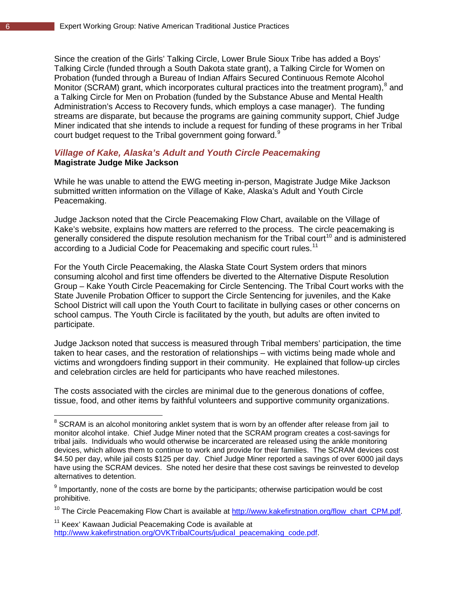Since the creation of the Girls' Talking Circle, Lower Brule Sioux Tribe has added a Boys' Talking Circle (funded through a South Dakota state grant), a Talking Circle for Women on Probation (funded through a Bureau of Indian Affairs Secured Continuous Remote Alcohol Monitor (SCRAM) grant, which incorporates cultural practices into the treatment program),<sup>[8](#page-11-1)</sup> and a Talking Circle for Men on Probation (funded by the Substance Abuse and Mental Health Administration's Access to Recovery funds, which employs a case manager). The funding streams are disparate, but because the programs are gaining community support, Chief Judge Miner indicated that she intends to include a request for funding of these programs in her Tribal court budget request to the Tribal government going forward.<sup>[9](#page-11-2)</sup>

## <span id="page-11-0"></span>*Village of Kake, Alaska's Adult and Youth Circle Peacemaking*  **Magistrate Judge Mike Jackson**

While he was unable to attend the EWG meeting in-person, Magistrate Judge Mike Jackson submitted written information on the Village of Kake, Alaska's Adult and Youth Circle Peacemaking.

Judge Jackson noted that the Circle Peacemaking Flow Chart, available on the Village of Kake's website, explains how matters are referred to the process. The circle peacemaking is generally considered the dispute resolution mechanism for the Tribal court<sup>[10](#page-11-3)</sup> and is administered according to a Judicial Code for Peacemaking and specific court rules.<sup>[11](#page-11-4)</sup>

For the Youth Circle Peacemaking, the Alaska State Court System orders that minors consuming alcohol and first time offenders be diverted to the Alternative Dispute Resolution Group – Kake Youth Circle Peacemaking for Circle Sentencing. The Tribal Court works with the State Juvenile Probation Officer to support the Circle Sentencing for juveniles, and the Kake School District will call upon the Youth Court to facilitate in bullying cases or other concerns on school campus. The Youth Circle is facilitated by the youth, but adults are often invited to participate.

Judge Jackson noted that success is measured through Tribal members' participation, the time taken to hear cases, and the restoration of relationships – with victims being made whole and victims and wrongdoers finding support in their community. He explained that follow-up circles and celebration circles are held for participants who have reached milestones.

The costs associated with the circles are minimal due to the generous donations of coffee, tissue, food, and other items by faithful volunteers and supportive community organizations.

<span id="page-11-4"></span><sup>11</sup> Keex' Kawaan Judicial Peacemaking Code is available at [http://www.kakefirstnation.org/OVKTribalCourts/judical\\_peacemaking\\_code.pdf.](http://www.kakefirstnation.org/OVKTribalCourts/judical_peacemaking_code.pdf)

 $\overline{\phantom{a}}$ 

<span id="page-11-1"></span> $^8$  SCRAM is an alcohol monitoring anklet system that is worn by an offender after release from jail to monitor alcohol intake. Chief Judge Miner noted that the SCRAM program creates a cost-savings for tribal jails. Individuals who would otherwise be incarcerated are released using the ankle monitoring devices, which allows them to continue to work and provide for their families. The SCRAM devices cost \$4.50 per day, while jail costs \$125 per day. Chief Judge Miner reported a savings of over 6000 jail days have using the SCRAM devices. She noted her desire that these cost savings be reinvested to develop alternatives to detention.

<span id="page-11-2"></span> $9$  Importantly, none of the costs are borne by the participants; otherwise participation would be cost prohibitive.

<span id="page-11-3"></span><sup>&</sup>lt;sup>10</sup> The Circle Peacemaking Flow Chart is available at [http://www.kakefirstnation.org/flow\\_chart\\_CPM.pdf.](http://www.kakefirstnation.org/flow_chart_CPM.pdf)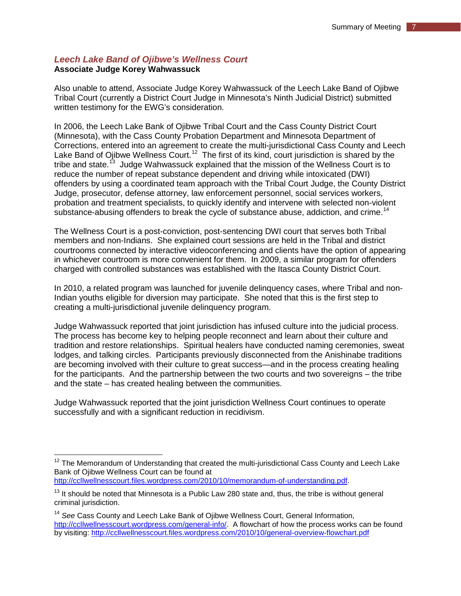# <span id="page-12-0"></span>*Leech Lake Band of Ojibwe's Wellness Court*  **Associate Judge Korey Wahwassuck**

Also unable to attend, Associate Judge Korey Wahwassuck of the Leech Lake Band of Ojibwe Tribal Court (currently a District Court Judge in Minnesota's Ninth Judicial District) submitted written testimony for the EWG's consideration.

In 2006, the Leech Lake Bank of Ojibwe Tribal Court and the Cass County District Court (Minnesota), with the Cass County Probation Department and Minnesota Department of Corrections, entered into an agreement to create the multi-jurisdictional Cass County and Leech Lake Band of Ojibwe Wellness Court.<sup>[12](#page-12-1)</sup> The first of its kind, court jurisdiction is shared by the tribe and state.<sup>[13](#page-12-2)</sup> Judge Wahwassuck explained that the mission of the Wellness Court is to reduce the number of repeat substance dependent and driving while intoxicated (DWI) offenders by using a coordinated team approach with the Tribal Court Judge, the County District Judge, prosecutor, defense attorney, law enforcement personnel, social services workers, probation and treatment specialists, to quickly identify and intervene with selected non-violent substance-abusing offenders to break the cycle of substance abuse, addiction, and crime.<sup>14</sup>

The Wellness Court is a post-conviction, post-sentencing DWI court that serves both Tribal members and non-Indians. She explained court sessions are held in the Tribal and district courtrooms connected by interactive videoconferencing and clients have the option of appearing in whichever courtroom is more convenient for them. In 2009, a similar program for offenders charged with controlled substances was established with the Itasca County District Court.

In 2010, a related program was launched for juvenile delinquency cases, where Tribal and non-Indian youths eligible for diversion may participate. She noted that this is the first step to creating a multi-jurisdictional juvenile delinquency program.

Judge Wahwassuck reported that joint jurisdiction has infused culture into the judicial process. The process has become key to helping people reconnect and learn about their culture and tradition and restore relationships. Spiritual healers have conducted naming ceremonies, sweat lodges, and talking circles. Participants previously disconnected from the Anishinabe traditions are becoming involved with their culture to great success—and in the process creating healing for the participants. And the partnership between the two courts and two sovereigns – the tribe and the state – has created healing between the communities.

Judge Wahwassuck reported that the joint jurisdiction Wellness Court continues to operate successfully and with a significant reduction in recidivism.

 $13$  It should be noted that Minnesota is a Public Law 280 state and, thus, the tribe is without general

 $\overline{\phantom{a}}$ 

<span id="page-12-1"></span> $12$  The Memorandum of Understanding that created the multi-jurisdictional Cass County and Leech Lake Bank of Ojibwe Wellness Court can be found at [http://ccllwellnesscourt.files.wordpress.com/2010/10/memorandum-of-understanding.pdf.](http://ccllwellnesscourt.files.wordpress.com/2010/10/memorandum-of-understanding.pdf)

<span id="page-12-2"></span>criminal jurisdiction.

<span id="page-12-3"></span><sup>14</sup> *See* Cass County and Leech Lake Bank of Ojibwe Wellness Court, General Information, [http://ccllwellnesscourt.wordpress.com/general-info/.](http://ccllwellnesscourt.wordpress.com/general-info/) A flowchart of how the process works can be found by visiting:<http://ccllwellnesscourt.files.wordpress.com/2010/10/general-overview-flowchart.pdf>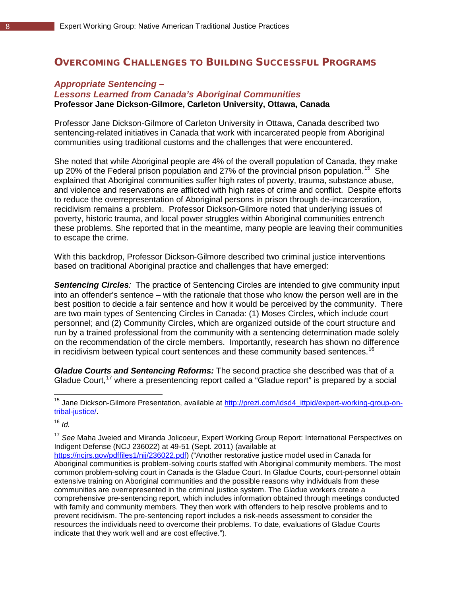# <span id="page-13-0"></span>OVERCOMING CHALLENGES TO BUILDING SUCCESSFUL PROGRAMS

# <span id="page-13-1"></span>*Appropriate Sentencing – Lessons Learned from Canada's Aboriginal Communities* **Professor Jane Dickson-Gilmore, Carleton University, Ottawa, Canada**

Professor Jane Dickson-Gilmore of Carleton University in Ottawa, Canada described two sentencing-related initiatives in Canada that work with incarcerated people from Aboriginal communities using traditional customs and the challenges that were encountered.

She noted that while Aboriginal people are 4% of the overall population of Canada, they make up 20% of the Federal prison population and 27% of the provincial prison population.<sup>15</sup> She explained that Aboriginal communities suffer high rates of poverty, trauma, substance abuse, and violence and reservations are afflicted with high rates of crime and conflict. Despite efforts to reduce the overrepresentation of Aboriginal persons in prison through de-incarceration, recidivism remains a problem. Professor Dickson-Gilmore noted that underlying issues of poverty, historic trauma, and local power struggles within Aboriginal communities entrench these problems. She reported that in the meantime, many people are leaving their communities to escape the crime.

With this backdrop, Professor Dickson-Gilmore described two criminal justice interventions based on traditional Aboriginal practice and challenges that have emerged:

**Sentencing Circles**: The practice of Sentencing Circles are intended to give community input into an offender's sentence – with the rationale that those who know the person well are in the best position to decide a fair sentence and how it would be perceived by the community. There are two main types of Sentencing Circles in Canada: (1) Moses Circles, which include court personnel; and (2) Community Circles, which are organized outside of the court structure and run by a trained professional from the community with a sentencing determination made solely on the recommendation of the circle members. Importantly, research has shown no difference in recidivism between typical court sentences and these community based sentences. [16](#page-13-3)

*Gladue Courts and Sentencing Reforms:* The second practice she described was that of a Gladue Court,<sup>[17](#page-13-4)</sup> where a presentencing report called a "Gladue report" is prepared by a social

<span id="page-13-3"></span> $16$  *Id.* 

 $\overline{\phantom{a}}$ 

[https://ncjrs.gov/pdffiles1/nij/236022.pdf\)](https://ncjrs.gov/pdffiles1/nij/236022.pdf) ("Another restorative justice model used in Canada for Aboriginal communities is problem-solving courts staffed with Aboriginal community members. The most common problem-solving court in Canada is the Gladue Court. In Gladue Courts, court-personnel obtain extensive training on Aboriginal communities and the possible reasons why individuals from these communities are overrepresented in the criminal justice system. The Gladue workers create a comprehensive pre-sentencing report, which includes information obtained through meetings conducted with family and community members. They then work with offenders to help resolve problems and to prevent recidivism. The pre-sentencing report includes a risk-needs assessment to consider the resources the individuals need to overcome their problems. To date, evaluations of Gladue Courts indicate that they work well and are cost effective.").

<span id="page-13-2"></span><sup>&</sup>lt;sup>15</sup> Jane Dickson-Gilmore Presentation, available at **[http://prezi.com/idsd4\\_ittpid/expert-working-group-on](http://prezi.com/idsd4_ittpid/expert-working-group-on-tribal-justice/)**[tribal-justice/.](http://prezi.com/idsd4_ittpid/expert-working-group-on-tribal-justice/)

<span id="page-13-4"></span><sup>17</sup> *See* Maha Jweied and Miranda Jolicoeur, Expert Working Group Report: International Perspectives on Indigent Defense (NCJ 236022) at 49-51 (Sept. 2011) (available at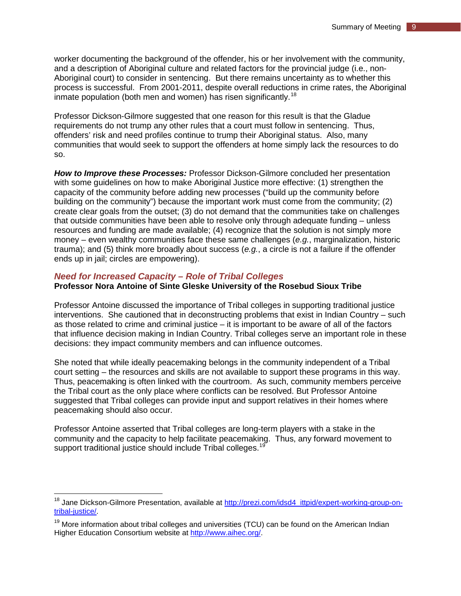worker documenting the background of the offender, his or her involvement with the community, and a description of Aboriginal culture and related factors for the provincial judge (i.e., non-Aboriginal court) to consider in sentencing. But there remains uncertainty as to whether this process is successful. From 2001-2011, despite overall reductions in crime rates, the Aboriginal inmate population (both men and women) has risen significantly.<sup>[18](#page-14-1)</sup>

Professor Dickson-Gilmore suggested that one reason for this result is that the Gladue requirements do not trump any other rules that a court must follow in sentencing. Thus, offenders' risk and need profiles continue to trump their Aboriginal status. Also, many communities that would seek to support the offenders at home simply lack the resources to do so.

*How to Improve these Processes:* Professor Dickson-Gilmore concluded her presentation with some guidelines on how to make Aboriginal Justice more effective: (1) strengthen the capacity of the community before adding new processes ("build up the community before building on the community") because the important work must come from the community; (2) create clear goals from the outset; (3) do not demand that the communities take on challenges that outside communities have been able to resolve only through adequate funding – unless resources and funding are made available; (4) recognize that the solution is not simply more money – even wealthy communities face these same challenges (*e.g.*, marginalization, historic trauma); and (5) think more broadly about success (*e.g.*, a circle is not a failure if the offender ends up in jail; circles are empowering).

## <span id="page-14-0"></span>*Need for Increased Capacity – Role of Tribal Colleges*

#### **Professor Nora Antoine of Sinte Gleske University of the Rosebud Sioux Tribe**

Professor Antoine discussed the importance of Tribal colleges in supporting traditional justice interventions. She cautioned that in deconstructing problems that exist in Indian Country – such as those related to crime and criminal justice – it is important to be aware of all of the factors that influence decision making in Indian Country. Tribal colleges serve an important role in these decisions: they impact community members and can influence outcomes.

She noted that while ideally peacemaking belongs in the community independent of a Tribal court setting – the resources and skills are not available to support these programs in this way. Thus, peacemaking is often linked with the courtroom. As such, community members perceive the Tribal court as the only place where conflicts can be resolved. But Professor Antoine suggested that Tribal colleges can provide input and support relatives in their homes where peacemaking should also occur.

Professor Antoine asserted that Tribal colleges are long-term players with a stake in the community and the capacity to help facilitate peacemaking. Thus, any forward movement to support traditional justice should include Tribal colleges.<sup>[19](#page-14-2)</sup>

<span id="page-14-1"></span><sup>&</sup>lt;sup>18</sup> Jane Dickson-Gilmore Presentation, available at **[http://prezi.com/idsd4\\_ittpid/expert-working-group-on](http://prezi.com/idsd4_ittpid/expert-working-group-on-tribal-justice/)**[tribal-justice/.](http://prezi.com/idsd4_ittpid/expert-working-group-on-tribal-justice/)  $\overline{a}$ 

<span id="page-14-2"></span> $19$  More information about tribal colleges and universities (TCU) can be found on the American Indian Higher Education Consortium website at [http://www.aihec.org/.](http://www.aihec.org/)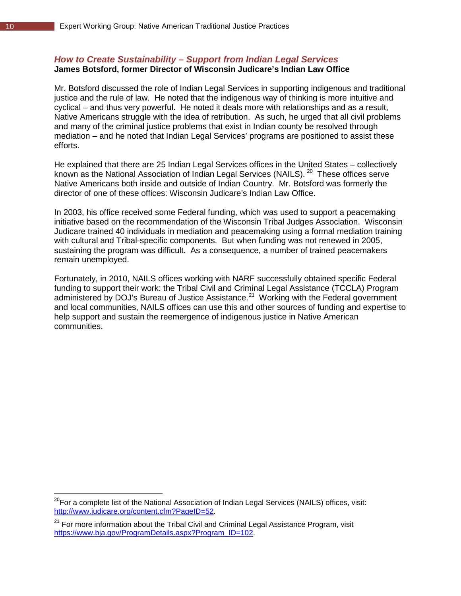#### <span id="page-15-0"></span>*How to Create Sustainability – Support from Indian Legal Services* **James Botsford, former Director of Wisconsin Judicare's Indian Law Office**

Mr. Botsford discussed the role of Indian Legal Services in supporting indigenous and traditional justice and the rule of law. He noted that the indigenous way of thinking is more intuitive and cyclical – and thus very powerful. He noted it deals more with relationships and as a result, Native Americans struggle with the idea of retribution. As such, he urged that all civil problems and many of the criminal justice problems that exist in Indian county be resolved through mediation – and he noted that Indian Legal Services' programs are positioned to assist these efforts.

He explained that there are 25 Indian Legal Services offices in the United States – collectively known as the National Association of Indian Legal Services (NAILS).<sup>[20](#page-15-1)</sup> These offices serve Native Americans both inside and outside of Indian Country. Mr. Botsford was formerly the director of one of these offices: Wisconsin Judicare's Indian Law Office.

In 2003, his office received some Federal funding, which was used to support a peacemaking initiative based on the recommendation of the Wisconsin Tribal Judges Association. Wisconsin Judicare trained 40 individuals in mediation and peacemaking using a formal mediation training with cultural and Tribal-specific components. But when funding was not renewed in 2005, sustaining the program was difficult. As a consequence, a number of trained peacemakers remain unemployed.

Fortunately, in 2010, NAILS offices working with NARF successfully obtained specific Federal funding to support their work: the Tribal Civil and Criminal Legal Assistance (TCCLA) Program administered by DOJ's Bureau of Justice Assistance.<sup>[21](#page-15-2)</sup> Working with the Federal government and local communities, NAILS offices can use this and other sources of funding and expertise to help support and sustain the reemergence of indigenous justice in Native American communities.

 $\overline{a}$ 

<span id="page-15-1"></span> $^{20}$ For a complete list of the National Association of Indian Legal Services (NAILS) offices, visit: [http://www.judicare.org/content.cfm?PageID=52.](http://www.judicare.org/content.cfm?PageID=52)

<span id="page-15-2"></span> $21$  For more information about the Tribal Civil and Criminal Legal Assistance Program, visit https://www.bja.gov/ProgramDetails.aspx?Program\_ID=102.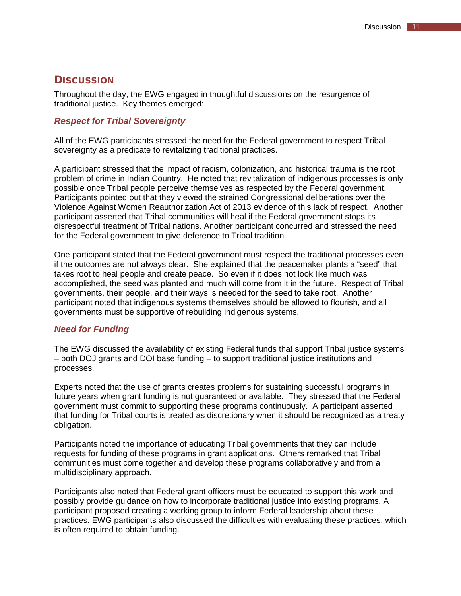# <span id="page-16-0"></span>**DISCUSSION**

Throughout the day, the EWG engaged in thoughtful discussions on the resurgence of traditional justice. Key themes emerged:

# <span id="page-16-1"></span>*Respect for Tribal Sovereignty*

All of the EWG participants stressed the need for the Federal government to respect Tribal sovereignty as a predicate to revitalizing traditional practices.

A participant stressed that the impact of racism, colonization, and historical trauma is the root problem of crime in Indian Country. He noted that revitalization of indigenous processes is only possible once Tribal people perceive themselves as respected by the Federal government. Participants pointed out that they viewed the strained Congressional deliberations over the Violence Against Women Reauthorization Act of 2013 evidence of this lack of respect. Another participant asserted that Tribal communities will heal if the Federal government stops its disrespectful treatment of Tribal nations. Another participant concurred and stressed the need for the Federal government to give deference to Tribal tradition.

One participant stated that the Federal government must respect the traditional processes even if the outcomes are not always clear. She explained that the peacemaker plants a "seed" that takes root to heal people and create peace. So even if it does not look like much was accomplished, the seed was planted and much will come from it in the future. Respect of Tribal governments, their people, and their ways is needed for the seed to take root. Another participant noted that indigenous systems themselves should be allowed to flourish, and all governments must be supportive of rebuilding indigenous systems.

#### <span id="page-16-2"></span>*Need for Funding*

The EWG discussed the availability of existing Federal funds that support Tribal justice systems – both DOJ grants and DOI base funding – to support traditional justice institutions and processes.

Experts noted that the use of grants creates problems for sustaining successful programs in future years when grant funding is not guaranteed or available. They stressed that the Federal government must commit to supporting these programs continuously. A participant asserted that funding for Tribal courts is treated as discretionary when it should be recognized as a treaty obligation.

Participants noted the importance of educating Tribal governments that they can include requests for funding of these programs in grant applications. Others remarked that Tribal communities must come together and develop these programs collaboratively and from a multidisciplinary approach.

Participants also noted that Federal grant officers must be educated to support this work and possibly provide guidance on how to incorporate traditional justice into existing programs. A participant proposed creating a working group to inform Federal leadership about these practices. EWG participants also discussed the difficulties with evaluating these practices, which is often required to obtain funding.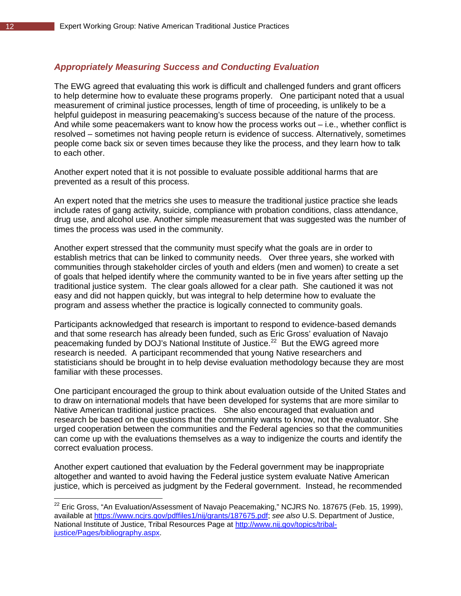# <span id="page-17-0"></span>*Appropriately Measuring Success and Conducting Evaluation*

The EWG agreed that evaluating this work is difficult and challenged funders and grant officers to help determine how to evaluate these programs properly. One participant noted that a usual measurement of criminal justice processes, length of time of proceeding, is unlikely to be a helpful guidepost in measuring peacemaking's success because of the nature of the process. And while some peacemakers want to know how the process works out – i.e., whether conflict is resolved – sometimes not having people return is evidence of success. Alternatively, sometimes people come back six or seven times because they like the process, and they learn how to talk to each other.

Another expert noted that it is not possible to evaluate possible additional harms that are prevented as a result of this process.

An expert noted that the metrics she uses to measure the traditional justice practice she leads include rates of gang activity, suicide, compliance with probation conditions, class attendance, drug use, and alcohol use. Another simple measurement that was suggested was the number of times the process was used in the community.

Another expert stressed that the community must specify what the goals are in order to establish metrics that can be linked to community needs. Over three years, she worked with communities through stakeholder circles of youth and elders (men and women) to create a set of goals that helped identify where the community wanted to be in five years after setting up the traditional justice system. The clear goals allowed for a clear path. She cautioned it was not easy and did not happen quickly, but was integral to help determine how to evaluate the program and assess whether the practice is logically connected to community goals.

Participants acknowledged that research is important to respond to evidence-based demands and that some research has already been funded, such as Eric Gross' evaluation of Navajo peacemaking funded by DOJ's National Institute of Justice.<sup>22</sup> But the EWG agreed more research is needed. A participant recommended that young Native researchers and statisticians should be brought in to help devise evaluation methodology because they are most familiar with these processes.

One participant encouraged the group to think about evaluation outside of the United States and to draw on international models that have been developed for systems that are more similar to Native American traditional justice practices. She also encouraged that evaluation and research be based on the questions that the community wants to know, not the evaluator. She urged cooperation between the communities and the Federal agencies so that the communities can come up with the evaluations themselves as a way to indigenize the courts and identify the correct evaluation process.

Another expert cautioned that evaluation by the Federal government may be inappropriate altogether and wanted to avoid having the Federal justice system evaluate Native American justice, which is perceived as judgment by the Federal government. Instead, he recommended

 $\overline{a}$ 

<span id="page-17-1"></span> $^{22}$  Eric Gross, "An Evaluation/Assessment of Navajo Peacemaking," NCJRS No. 187675 (Feb. 15, 1999), available at [https://www.ncjrs.gov/pdffiles1/nij/grants/187675.pdf;](https://www.ncjrs.gov/pdffiles1/nij/grants/187675.pdf) *see also* U.S. Department of Justice, National Institute of Justice, Tribal Resources Page at [http://www.nij.gov/topics/tribal](http://www.nij.gov/topics/tribal-justice/Pages/bibliography.aspx)[justice/Pages/bibliography.aspx.](http://www.nij.gov/topics/tribal-justice/Pages/bibliography.aspx)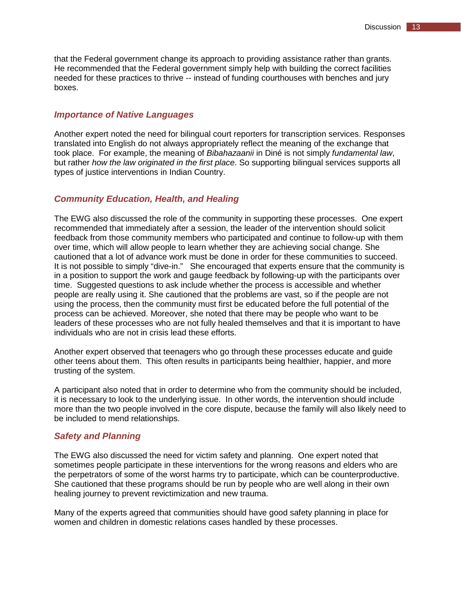that the Federal government change its approach to providing assistance rather than grants. He recommended that the Federal government simply help with building the correct facilities needed for these practices to thrive -- instead of funding courthouses with benches and jury boxes.

#### <span id="page-18-0"></span>*Importance of Native Languages*

Another expert noted the need for bilingual court reporters for transcription services. Responses translated into English do not always appropriately reflect the meaning of the exchange that took place. For example, the meaning of *Bibahazaanii* in Diné is not simply *fundamental law*, but rather *how the law originated in the first place*. So supporting bilingual services supports all types of justice interventions in Indian Country.

#### <span id="page-18-1"></span>*Community Education, Health, and Healing*

The EWG also discussed the role of the community in supporting these processes. One expert recommended that immediately after a session, the leader of the intervention should solicit feedback from those community members who participated and continue to follow-up with them over time, which will allow people to learn whether they are achieving social change. She cautioned that a lot of advance work must be done in order for these communities to succeed. It is not possible to simply "dive-in." She encouraged that experts ensure that the community is in a position to support the work and gauge feedback by following-up with the participants over time. Suggested questions to ask include whether the process is accessible and whether people are really using it. She cautioned that the problems are vast, so if the people are not using the process, then the community must first be educated before the full potential of the process can be achieved. Moreover, she noted that there may be people who want to be leaders of these processes who are not fully healed themselves and that it is important to have individuals who are not in crisis lead these efforts.

Another expert observed that teenagers who go through these processes educate and guide other teens about them. This often results in participants being healthier, happier, and more trusting of the system.

A participant also noted that in order to determine who from the community should be included, it is necessary to look to the underlying issue. In other words, the intervention should include more than the two people involved in the core dispute, because the family will also likely need to be included to mend relationships.

#### <span id="page-18-2"></span>*Safety and Planning*

The EWG also discussed the need for victim safety and planning. One expert noted that sometimes people participate in these interventions for the wrong reasons and elders who are the perpetrators of some of the worst harms try to participate, which can be counterproductive. She cautioned that these programs should be run by people who are well along in their own healing journey to prevent revictimization and new trauma.

Many of the experts agreed that communities should have good safety planning in place for women and children in domestic relations cases handled by these processes.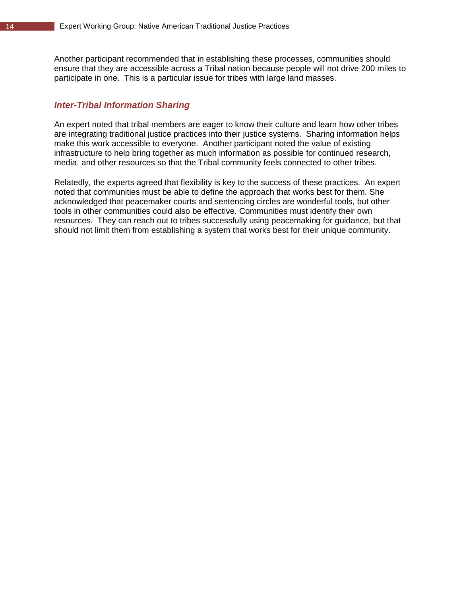Another participant recommended that in establishing these processes, communities should ensure that they are accessible across a Tribal nation because people will not drive 200 miles to participate in one. This is a particular issue for tribes with large land masses.

# <span id="page-19-0"></span>*Inter-Tribal Information Sharing*

An expert noted that tribal members are eager to know their culture and learn how other tribes are integrating traditional justice practices into their justice systems. Sharing information helps make this work accessible to everyone. Another participant noted the value of existing infrastructure to help bring together as much information as possible for continued research, media, and other resources so that the Tribal community feels connected to other tribes.

Relatedly, the experts agreed that flexibility is key to the success of these practices. An expert noted that communities must be able to define the approach that works best for them. She acknowledged that peacemaker courts and sentencing circles are wonderful tools, but other tools in other communities could also be effective. Communities must identify their own resources. They can reach out to tribes successfully using peacemaking for guidance, but that should not limit them from establishing a system that works best for their unique community.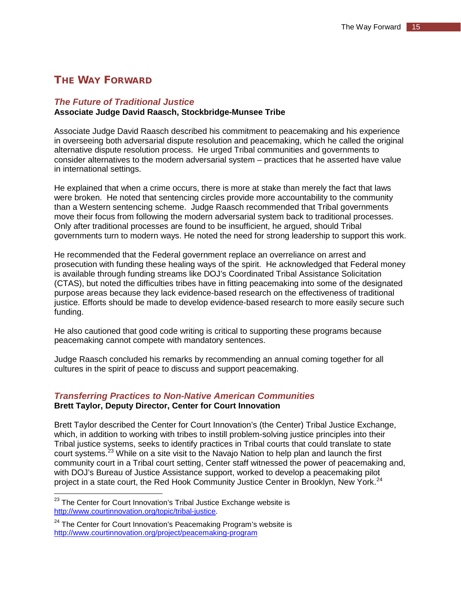# <span id="page-20-0"></span>THE WAY FORWARD.

# <span id="page-20-1"></span>*The Future of Traditional Justice*

## **Associate Judge David Raasch, Stockbridge-Munsee Tribe**

Associate Judge David Raasch described his commitment to peacemaking and his experience in overseeing both adversarial dispute resolution and peacemaking, which he called the original alternative dispute resolution process. He urged Tribal communities and governments to consider alternatives to the modern adversarial system – practices that he asserted have value in international settings.

He explained that when a crime occurs, there is more at stake than merely the fact that laws were broken. He noted that sentencing circles provide more accountability to the community than a Western sentencing scheme. Judge Raasch recommended that Tribal governments move their focus from following the modern adversarial system back to traditional processes. Only after traditional processes are found to be insufficient, he argued, should Tribal governments turn to modern ways. He noted the need for strong leadership to support this work.

He recommended that the Federal government replace an overreliance on arrest and prosecution with funding these healing ways of the spirit. He acknowledged that Federal money is available through funding streams like DOJ's Coordinated Tribal Assistance Solicitation (CTAS), but noted the difficulties tribes have in fitting peacemaking into some of the designated purpose areas because they lack evidence-based research on the effectiveness of traditional justice. Efforts should be made to develop evidence-based research to more easily secure such funding.

He also cautioned that good code writing is critical to supporting these programs because peacemaking cannot compete with mandatory sentences.

Judge Raasch concluded his remarks by recommending an annual coming together for all cultures in the spirit of peace to discuss and support peacemaking.

## <span id="page-20-2"></span>*Transferring Practices to Non-Native American Communities* **Brett Taylor, Deputy Director, Center for Court Innovation**

Brett Taylor described the Center for Court Innovation's (the Center) Tribal Justice Exchange, which, in addition to working with tribes to instill problem-solving justice principles into their Tribal justice systems, seeks to identify practices in Tribal courts that could translate to state court systems.<sup>[23](#page-20-3)</sup> While on a site visit to the Navajo Nation to help plan and launch the first community court in a Tribal court setting, Center staff witnessed the power of peacemaking and, with DOJ's Bureau of Justice Assistance support, worked to develop a peacemaking pilot project in a state court, the Red Hook Community Justice Center in Brooklyn, New York.<sup>[24](#page-20-4)</sup>

 $\overline{a}$ 

<span id="page-20-3"></span> $^{23}$  The Center for Court Innovation's Tribal Justice Exchange website is [http://www.courtinnovation.org/topic/tribal-justice.](http://www.courtinnovation.org/topic/tribal-justice)

<span id="page-20-4"></span> $24$  The Center for Court Innovation's Peacemaking Program's website is <http://www.courtinnovation.org/project/peacemaking-program>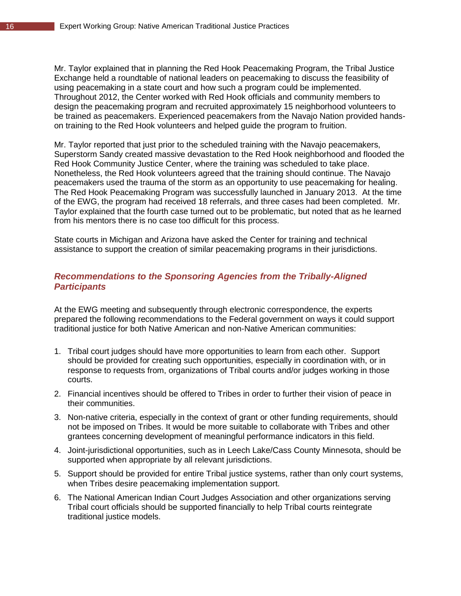Mr. Taylor explained that in planning the Red Hook Peacemaking Program, the Tribal Justice Exchange held a roundtable of national leaders on peacemaking to discuss the feasibility of using peacemaking in a state court and how such a program could be implemented. Throughout 2012, the Center worked with Red Hook officials and community members to design the peacemaking program and recruited approximately 15 neighborhood volunteers to be trained as peacemakers. Experienced peacemakers from the Navajo Nation provided handson training to the Red Hook volunteers and helped guide the program to fruition.

Mr. Taylor reported that just prior to the scheduled training with the Navajo peacemakers, Superstorm Sandy created massive devastation to the Red Hook neighborhood and flooded the Red Hook Community Justice Center, where the training was scheduled to take place. Nonetheless, the Red Hook volunteers agreed that the training should continue. The Navajo peacemakers used the trauma of the storm as an opportunity to use peacemaking for healing. The Red Hook Peacemaking Program was successfully launched in January 2013. At the time of the EWG, the program had received 18 referrals, and three cases had been completed. Mr. Taylor explained that the fourth case turned out to be problematic, but noted that as he learned from his mentors there is no case too difficult for this process.

State courts in Michigan and Arizona have asked the Center for training and technical assistance to support the creation of similar peacemaking programs in their jurisdictions.

# <span id="page-21-0"></span>*Recommendations to the Sponsoring Agencies from the Tribally-Aligned Participants*

At the EWG meeting and subsequently through electronic correspondence, the experts prepared the following recommendations to the Federal government on ways it could support traditional justice for both Native American and non-Native American communities:

- 1. Tribal court judges should have more opportunities to learn from each other. Support should be provided for creating such opportunities, especially in coordination with, or in response to requests from, organizations of Tribal courts and/or judges working in those courts.
- 2. Financial incentives should be offered to Tribes in order to further their vision of peace in their communities.
- 3. Non-native criteria, especially in the context of grant or other funding requirements, should not be imposed on Tribes. It would be more suitable to collaborate with Tribes and other grantees concerning development of meaningful performance indicators in this field.
- 4. Joint-jurisdictional opportunities, such as in Leech Lake/Cass County Minnesota, should be supported when appropriate by all relevant jurisdictions.
- 5. Support should be provided for entire Tribal justice systems, rather than only court systems, when Tribes desire peacemaking implementation support.
- 6. The National American Indian Court Judges Association and other organizations serving Tribal court officials should be supported financially to help Tribal courts reintegrate traditional justice models.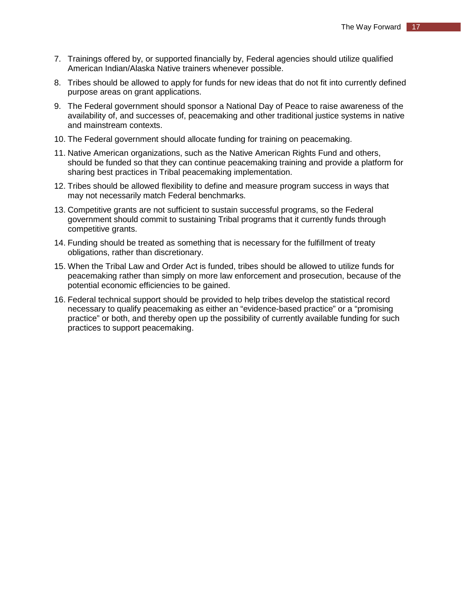- 7. Trainings offered by, or supported financially by, Federal agencies should utilize qualified American Indian/Alaska Native trainers whenever possible.
- 8. Tribes should be allowed to apply for funds for new ideas that do not fit into currently defined purpose areas on grant applications.
- 9. The Federal government should sponsor a National Day of Peace to raise awareness of the availability of, and successes of, peacemaking and other traditional justice systems in native and mainstream contexts.
- 10. The Federal government should allocate funding for training on peacemaking.
- 11. Native American organizations, such as the Native American Rights Fund and others, should be funded so that they can continue peacemaking training and provide a platform for sharing best practices in Tribal peacemaking implementation.
- 12. Tribes should be allowed flexibility to define and measure program success in ways that may not necessarily match Federal benchmarks.
- 13. Competitive grants are not sufficient to sustain successful programs, so the Federal government should commit to sustaining Tribal programs that it currently funds through competitive grants.
- 14. Funding should be treated as something that is necessary for the fulfillment of treaty obligations, rather than discretionary.
- 15. When the Tribal Law and Order Act is funded, tribes should be allowed to utilize funds for peacemaking rather than simply on more law enforcement and prosecution, because of the potential economic efficiencies to be gained.
- 16. Federal technical support should be provided to help tribes develop the statistical record necessary to qualify peacemaking as either an "evidence-based practice" or a "promising practice" or both, and thereby open up the possibility of currently available funding for such practices to support peacemaking.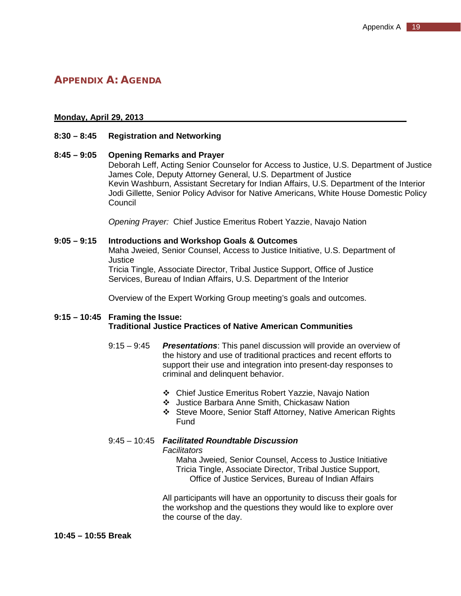# <span id="page-24-0"></span>APPENDIX A: AGENDA

#### **Monday, April 29, 2013**

#### **8:30 – 8:45 Registration and Networking**

#### **8:45 – 9:05 Opening Remarks and Prayer**

Deborah Leff, Acting Senior Counselor for Access to Justice, U.S. Department of Justice James Cole, Deputy Attorney General, U.S. Department of Justice Kevin Washburn, Assistant Secretary for Indian Affairs, U.S. Department of the Interior Jodi Gillette, Senior Policy Advisor for Native Americans, White House Domestic Policy Council

*Opening Prayer:* Chief Justice Emeritus Robert Yazzie, Navajo Nation

#### **9:05 – 9:15 Introductions and Workshop Goals & Outcomes**

Maha Jweied, Senior Counsel, Access to Justice Initiative, U.S. Department of **Justice** 

Tricia Tingle, Associate Director, Tribal Justice Support, Office of Justice Services, Bureau of Indian Affairs, U.S. Department of the Interior

Overview of the Expert Working Group meeting's goals and outcomes.

#### **9:15 – 10:45 Framing the Issue: Traditional Justice Practices of Native American Communities**

- 9:15 9:45 *Presentations*: This panel discussion will provide an overview of the history and use of traditional practices and recent efforts to support their use and integration into present-day responses to criminal and delinquent behavior.
	- Chief Justice Emeritus Robert Yazzie, Navajo Nation
	- Justice Barbara Anne Smith, Chickasaw Nation
	- Steve Moore, Senior Staff Attorney, Native American Rights Fund

# 9:45 – 10:45 *Facilitated Roundtable Discussion*

*Facilitators*

Maha Jweied, Senior Counsel, Access to Justice Initiative Tricia Tingle, Associate Director, Tribal Justice Support, Office of Justice Services, Bureau of Indian Affairs

All participants will have an opportunity to discuss their goals for the workshop and the questions they would like to explore over the course of the day.

#### **10:45 – 10:55 Break**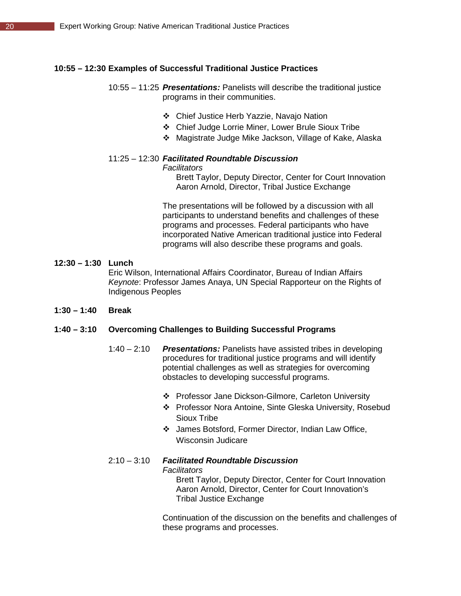#### **10:55 – 12:30 Examples of Successful Traditional Justice Practices**

- 10:55 11:25 *Presentations:* Panelists will describe the traditional justice programs in their communities.
	- Chief Justice Herb Yazzie, Navajo Nation
	- Chief Judge Lorrie Miner, Lower Brule Sioux Tribe
	- Magistrate Judge Mike Jackson, Village of Kake, Alaska

# 11:25 – 12:30 *Facilitated Roundtable Discussion*

#### *Facilitators*

Brett Taylor, Deputy Director, Center for Court Innovation Aaron Arnold, Director, Tribal Justice Exchange

The presentations will be followed by a discussion with all participants to understand benefits and challenges of these programs and processes. Federal participants who have incorporated Native American traditional justice into Federal programs will also describe these programs and goals.

#### **12:30 – 1:30 Lunch**

Eric Wilson, International Affairs Coordinator, Bureau of Indian Affairs *Keynote*: Professor James Anaya, UN Special Rapporteur on the Rights of Indigenous Peoples

**1:30 – 1:40 Break**

#### **1:40 – 3:10 Overcoming Challenges to Building Successful Programs**

- 1:40 2:10 *Presentations:* Panelists have assisted tribes in developing procedures for traditional justice programs and will identify potential challenges as well as strategies for overcoming obstacles to developing successful programs.
	- Professor Jane Dickson-Gilmore, Carleton University
	- Professor Nora Antoine, Sinte Gleska University, Rosebud Sioux Tribe
	- James Botsford, Former Director, Indian Law Office, Wisconsin Judicare
- 2:10 3:10 *Facilitated Roundtable Discussion Facilitators*

Brett Taylor, Deputy Director, Center for Court Innovation Aaron Arnold, Director, Center for Court Innovation's Tribal Justice Exchange

Continuation of the discussion on the benefits and challenges of these programs and processes.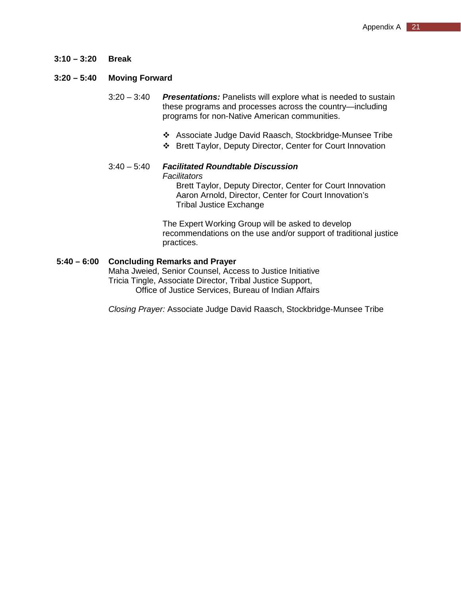**3:10 – 3:20 Break**

## **3:20 – 5:40 Moving Forward**

- 3:20 3:40 *Presentations:* Panelists will explore what is needed to sustain these programs and processes across the country—including programs for non-Native American communities.
	- Associate Judge David Raasch, Stockbridge-Munsee Tribe
	- Brett Taylor, Deputy Director, Center for Court Innovation

#### 3:40 – 5:40 *Facilitated Roundtable Discussion Facilitators* Brett Taylor, Deputy Director, Center for Court Innovation

Aaron Arnold, Director, Center for Court Innovation's Tribal Justice Exchange

The Expert Working Group will be asked to develop recommendations on the use and/or support of traditional justice practices.

## **5:40 – 6:00 Concluding Remarks and Prayer**

Maha Jweied, Senior Counsel, Access to Justice Initiative Tricia Tingle, Associate Director, Tribal Justice Support, Office of Justice Services, Bureau of Indian Affairs

*Closing Prayer:* Associate Judge David Raasch, Stockbridge-Munsee Tribe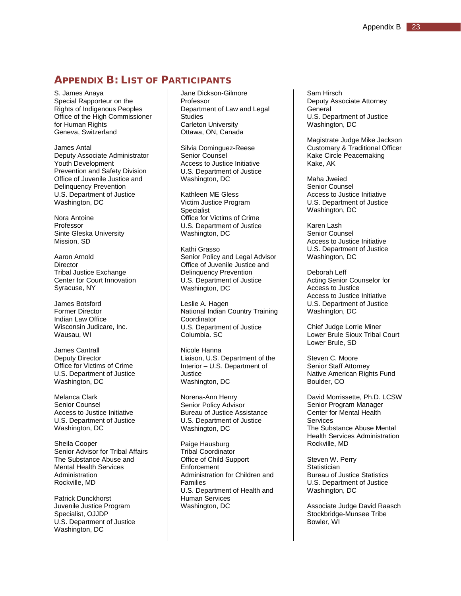# <span id="page-28-0"></span>APPENDIX B: LIST OF PARTICIPANTS

S. James Anaya Special Rapporteur on the Rights of Indigenous Peoples Office of the High Commissioner for Human Rights Geneva, Switzerland

James Antal Deputy Associate Administrator Youth Development Prevention and Safety Division Office of Juvenile Justice and Delinquency Prevention U.S. Department of Justice Washington, DC

Nora Antoine Professor Sinte Gleska University Mission, SD

Aaron Arnold Director Tribal Justice Exchange Center for Court Innovation Syracuse, NY

James Botsford Former Director Indian Law Office Wisconsin Judicare, Inc. Wausau, WI

James Cantrall Deputy Director Office for Victims of Crime U.S. Department of Justice Washington, DC

Melanca Clark Senior Counsel Access to Justice Initiative U.S. Department of Justice Washington, DC

Sheila Cooper Senior Advisor for Tribal Affairs The Substance Abuse and Mental Health Services Administration Rockville, MD

Patrick Dunckhorst Juvenile Justice Program Specialist, OJJDP U.S. Department of Justice Washington, DC

Jane Dickson-Gilmore Professor Department of Law and Legal **Studies** Carleton University Ottawa, ON, Canada

Silvia Dominguez-Reese Senior Counsel Access to Justice Initiative U.S. Department of Justice Washington, DC

Kathleen ME Gless Victim Justice Program Specialist Office for Victims of Crime U.S. Department of Justice Washington, DC

Kathi Grasso Senior Policy and Legal Advisor Office of Juvenile Justice and Delinquency Prevention U.S. Department of Justice Washington, DC

Leslie A. Hagen National Indian Country Training Coordinator U.S. Department of Justice Columbia. SC

Nicole Hanna Liaison, U.S. Department of the Interior – U.S. Department of **Justice** Washington, DC

Norena-Ann Henry Senior Policy Advisor Bureau of Justice Assistance U.S. Department of Justice Washington, DC

Paige Hausburg Tribal Coordinator Office of Child Support **Enforcement** Administration for Children and Families U.S. Department of Health and Human Services Washington, DC

Sam Hirsch Deputy Associate Attorney **General** U.S. Department of Justice Washington, DC

Magistrate Judge Mike Jackson Customary & Traditional Officer Kake Circle Peacemaking Kake, AK

Maha Jweied Senior Counsel Access to Justice Initiative U.S. Department of Justice Washington, DC

Karen Lash Senior Counsel Access to Justice Initiative U.S. Department of Justice Washington, DC

Deborah Leff Acting Senior Counselor for Access to Justice Access to Justice Initiative U.S. Department of Justice Washington, DC

Chief Judge Lorrie Miner Lower Brule Sioux Tribal Court Lower Brule, SD

Steven C. Moore Senior Staff Attorney Native American Rights Fund Boulder, CO

David Morrissette, Ph.D. LCSW Senior Program Manager Center for Mental Health Services The Substance Abuse Mental Health Services Administration Rockville, MD

Steven W. Perry **Statistician** Bureau of Justice Statistics U.S. Department of Justice Washington, DC

Associate Judge David Raasch Stockbridge-Munsee Tribe Bowler, WI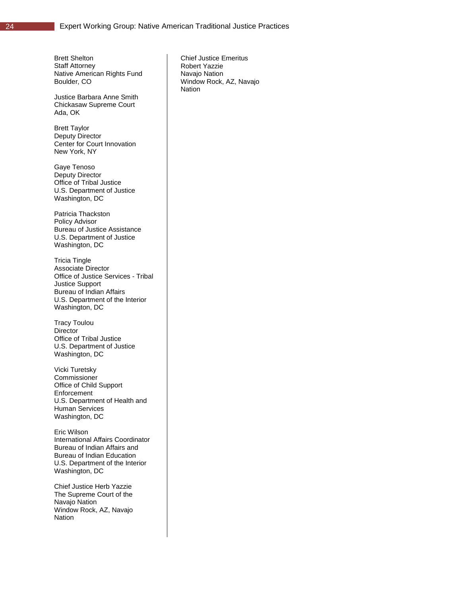Brett Shelton Staff Attorney Native American Rights Fund Boulder, CO

Justice Barbara Anne Smith Chickasaw Supreme Court Ada, OK

Brett Taylor Deputy Director Center for Court Innovation New York, NY

Gaye Tenoso Deputy Director Office of Tribal Justice U.S. Department of Justice Washington, DC

Patricia Thackston Policy Advisor Bureau of Justice Assistance U.S. Department of Justice Washington, DC

Tricia Tingle Associate Director Office of Justice Services - Tribal Justice Support Bureau of Indian Affairs U.S. Department of the Interior Washington, DC

Tracy Toulou **Director** Office of Tribal Justice U.S. Department of Justice Washington, DC

Vicki Turetsky Commissioner Office of Child Support Enforcement U.S. Department of Health and Human Services Washington, DC

Eric Wilson International Affairs Coordinator Bureau of Indian Affairs and Bureau of Indian Education U.S. Department of the Interior Washington, DC

Chief Justice Herb Yazzie The Supreme Court of the Navajo Nation Window Rock, AZ, Navajo Nation

Chief Justice Emeritus Robert Yazzie Navajo Nation Window Rock, AZ, Navajo Nation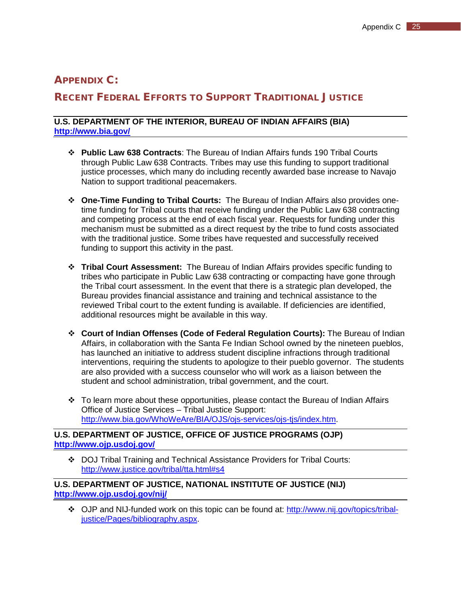# <span id="page-30-0"></span>APPENDIX C:

# RECENT FEDERAL EFFORTS TO SUPPORT TRADITIONAL JUSTICE

## **U.S. DEPARTMENT OF THE INTERIOR, BUREAU OF INDIAN AFFAIRS (BIA) <http://www.bia.gov/>**

- **Public Law 638 Contracts**: The Bureau of Indian Affairs funds 190 Tribal Courts through Public Law 638 Contracts. Tribes may use this funding to support traditional justice processes, which many do including recently awarded base increase to Navajo Nation to support traditional peacemakers.
- **One-Time Funding to Tribal Courts:** The Bureau of Indian Affairs also provides onetime funding for Tribal courts that receive funding under the Public Law 638 contracting and competing process at the end of each fiscal year. Requests for funding under this mechanism must be submitted as a direct request by the tribe to fund costs associated with the traditional justice. Some tribes have requested and successfully received funding to support this activity in the past.
- **Tribal Court Assessment:** The Bureau of Indian Affairs provides specific funding to tribes who participate in Public Law 638 contracting or compacting have gone through the Tribal court assessment. In the event that there is a strategic plan developed, the Bureau provides financial assistance and training and technical assistance to the reviewed Tribal court to the extent funding is available. If deficiencies are identified, additional resources might be available in this way.
- **Court of Indian Offenses (Code of Federal Regulation Courts):** The Bureau of Indian Affairs, in collaboration with the Santa Fe Indian School owned by the nineteen pueblos, has launched an initiative to address student discipline infractions through traditional interventions, requiring the students to apologize to their pueblo governor. The students are also provided with a success counselor who will work as a liaison between the student and school administration, tribal government, and the court.
- \* To learn more about these opportunities, please contact the Bureau of Indian Affairs Office of Justice Services – Tribal Justice Support: [http://www.bia.gov/WhoWeAre/BIA/OJS/ojs-services/ojs-tjs/index.htm.](http://www.bia.gov/WhoWeAre/BIA/OJS/ojs-services/ojs-tjs/index.htm)

# **U.S. DEPARTMENT OF JUSTICE, OFFICE OF JUSTICE PROGRAMS (OJP) <http://www.ojp.usdoj.gov/>**

 DOJ Tribal Training and Technical Assistance Providers for Tribal Courts: [http://www.justice.gov/tribal/tta.html#s4](http://www.justice.gov/tribal/tta.html%23s4)

# **U.S. DEPARTMENT OF JUSTICE, NATIONAL INSTITUTE OF JUSTICE (NIJ) <http://www.ojp.usdoj.gov/nij/>**

 OJP and NIJ-funded work on this topic can be found at: [http://www.nij.gov/topics/tribal](http://www.nij.gov/topics/tribal-justice/Pages/bibliography.aspx)[justice/Pages/bibliography.aspx.](http://www.nij.gov/topics/tribal-justice/Pages/bibliography.aspx)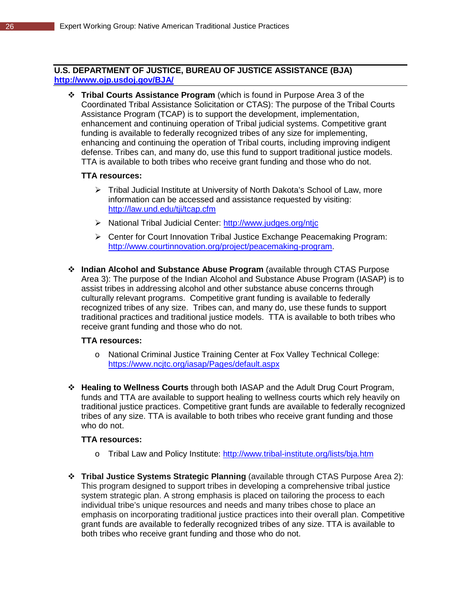# **U.S. DEPARTMENT OF JUSTICE, BUREAU OF JUSTICE ASSISTANCE (BJA) <http://www.ojp.usdoj.gov/BJA/>**

 **Tribal Courts Assistance Program** (which is found in Purpose Area 3 of the Coordinated Tribal Assistance Solicitation or CTAS): The purpose of the Tribal Courts Assistance Program (TCAP) is to support the development, implementation, enhancement and continuing operation of Tribal judicial systems. Competitive grant funding is available to federally recognized tribes of any size for implementing, enhancing and continuing the operation of Tribal courts, including improving indigent defense. Tribes can, and many do, use this fund to support traditional justice models. TTA is available to both tribes who receive grant funding and those who do not.

# **TTA resources:**

- Tribal Judicial Institute at University of North Dakota's School of Law, more information can be accessed and assistance requested by visiting: <http://law.und.edu/tji/tcap.cfm>
- > National Tribal Judicial Center:<http://www.judges.org/ntjc>
- Center for Court Innovation Tribal Justice Exchange Peacemaking Program: [http://www.courtinnovation.org/project/peacemaking-program.](http://www.courtinnovation.org/project/peacemaking-program)
- **Indian Alcohol and Substance Abuse Program** (available through CTAS Purpose Area 3): The purpose of the Indian Alcohol and Substance Abuse Program (IASAP) is to assist tribes in addressing alcohol and other substance abuse concerns through culturally relevant programs. Competitive grant funding is available to federally recognized tribes of any size. Tribes can, and many do, use these funds to support traditional practices and traditional justice models. TTA is available to both tribes who receive grant funding and those who do not.

#### **TTA resources:**

- o National Criminal Justice Training Center at Fox Valley Technical College: <https://www.ncjtc.org/iasap/Pages/default.aspx>
- **Healing to Wellness Courts** through both IASAP and the Adult Drug Court Program, funds and TTA are available to support healing to wellness courts which rely heavily on traditional justice practices. Competitive grant funds are available to federally recognized tribes of any size. TTA is available to both tribes who receive grant funding and those who do not.

#### **TTA resources:**

- o Tribal Law and Policy Institute:<http://www.tribal-institute.org/lists/bja.htm>
- **Tribal Justice Systems Strategic Planning** (available through CTAS Purpose Area 2): This program designed to support tribes in developing a comprehensive tribal justice system strategic plan. A strong emphasis is placed on tailoring the process to each individual tribe's unique resources and needs and many tribes chose to place an emphasis on incorporating traditional justice practices into their overall plan. Competitive grant funds are available to federally recognized tribes of any size. TTA is available to both tribes who receive grant funding and those who do not.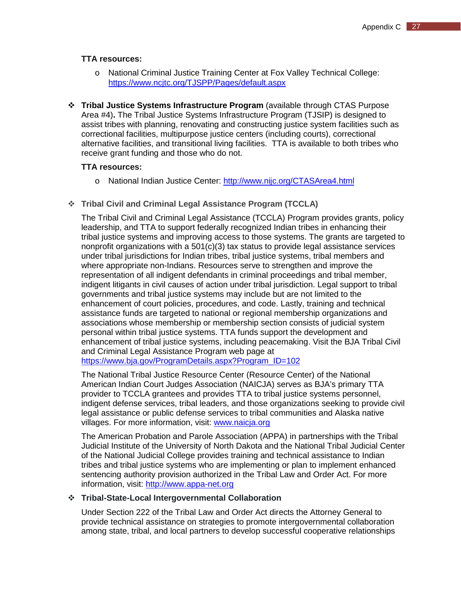# **TTA resources:**

- o National Criminal Justice Training Center at Fox Valley Technical College: <https://www.ncjtc.org/TJSPP/Pages/default.aspx>
- **Tribal Justice Systems Infrastructure Program** (available through CTAS Purpose Area #4)**.** The Tribal Justice Systems Infrastructure Program (TJSIP) is designed to assist tribes with planning, renovating and constructing justice system facilities such as correctional facilities, multipurpose justice centers (including courts), correctional alternative facilities, and transitional living facilities. TTA is available to both tribes who receive grant funding and those who do not.

## **TTA resources:**

- o National Indian Justice Center:<http://www.nijc.org/CTASArea4.html>
- **Tribal Civil and Criminal Legal Assistance Program (TCCLA)**

The Tribal Civil and Criminal Legal Assistance (TCCLA) Program provides grants, policy leadership, and TTA to support federally recognized Indian tribes in enhancing their tribal justice systems and improving access to those systems. The grants are targeted to nonprofit organizations with a  $501(c)(3)$  tax status to provide legal assistance services under tribal jurisdictions for Indian tribes, tribal justice systems, tribal members and where appropriate non-Indians. Resources serve to strengthen and improve the representation of all indigent defendants in criminal proceedings and tribal member, indigent litigants in civil causes of action under tribal jurisdiction. Legal support to tribal governments and tribal justice systems may include but are not limited to the enhancement of court policies, procedures, and code. Lastly, training and technical assistance funds are targeted to national or regional membership organizations and associations whose membership or membership section consists of judicial system personal within tribal justice systems. TTA funds support the development and enhancement of tribal justice systems, including peacemaking. Visit the BJA Tribal Civil and Criminal Legal Assistance Program web page at [https://www.bja.gov/ProgramDetails.aspx?Program\\_ID=102](https://www.bja.gov/ProgramDetails.aspx?Program_ID=102)

The National Tribal Justice Resource Center (Resource Center) of the National American Indian Court Judges Association (NAICJA) serves as BJA's primary TTA provider to TCCLA grantees and provides TTA to tribal justice systems personnel, indigent defense services, tribal leaders, and those organizations seeking to provide civil legal assistance or public defense services to tribal communities and Alaska native villages. For more information, visit: [www.naicja.org](http://www.naicja.org/)

The American Probation and Parole Association (APPA) in partnerships with the Tribal Judicial Institute of the University of North Dakota and the National Tribal Judicial Center of the National Judicial College provides training and technical assistance to Indian tribes and tribal justice systems who are implementing or plan to implement enhanced sentencing authority provision authorized in the Tribal Law and Order Act. For more information, visit: [http://www.appa-net.org](http://www.appa-net.org/)

#### **Tribal-State-Local Intergovernmental Collaboration**

Under Section 222 of the Tribal Law and Order Act directs the Attorney General to provide technical assistance on strategies to promote intergovernmental collaboration among state, tribal, and local partners to develop successful cooperative relationships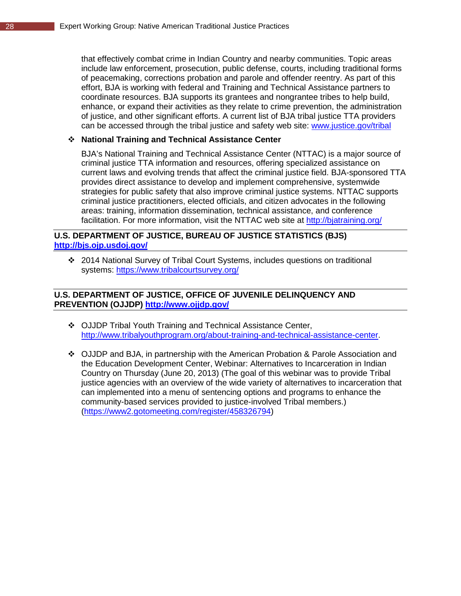that effectively combat crime in Indian Country and nearby communities. Topic areas include law enforcement, prosecution, public defense, courts, including traditional forms of peacemaking, corrections probation and parole and offender reentry. As part of this effort, BJA is working with federal and Training and Technical Assistance partners to coordinate resources. BJA supports its grantees and nongrantee tribes to help build, enhance, or expand their activities as they relate to crime prevention, the administration of justice, and other significant efforts. A current list of BJA tribal justice TTA providers can be accessed through the tribal justice and safety web site: [www.justice.gov/tribal](http://www.justice.gov/tribal)

# **National Training and Technical Assistance Center**

BJA's National Training and Technical Assistance Center (NTTAC) is a major source of criminal justice TTA information and resources, offering specialized assistance on current laws and evolving trends that affect the criminal justice field. BJA-sponsored TTA provides direct assistance to develop and implement comprehensive, systemwide strategies for public safety that also improve criminal justice systems. NTTAC supports criminal justice practitioners, elected officials, and citizen advocates in the following areas: training, information dissemination, technical assistance, and conference facilitation. For more information, visit the NTTAC web site at<http://bjatraining.org/>

# **U.S. DEPARTMENT OF JUSTICE, BUREAU OF JUSTICE STATISTICS (BJS) <http://bjs.ojp.usdoj.gov/>**

 2014 National Survey of Tribal Court Systems, includes questions on traditional systems:<https://www.tribalcourtsurvey.org/>

# **U.S. DEPARTMENT OF JUSTICE, OFFICE OF JUVENILE DELINQUENCY AND PREVENTION (OJJDP)<http://www.ojjdp.gov/>**

- ❖ OJJDP Tribal Youth Training and Technical Assistance Center, [http://www.tribalyouthprogram.org/about-training-and-technical-assistance-center.](http://www.tribalyouthprogram.org/about-training-and-technical-assistance-center)
- OJJDP and BJA, in partnership with the American Probation & Parole Association and the Education Development Center, Webinar: Alternatives to Incarceration in Indian Country on Thursday (June 20, 2013) (The goal of this webinar was to provide Tribal justice agencies with an overview of the wide variety of alternatives to incarceration that can implemented into a menu of sentencing options and programs to enhance the community-based services provided to justice-involved Tribal members.) [\(https://www2.gotomeeting.com/register/458326794\)](https://www2.gotomeeting.com/register/458326794)